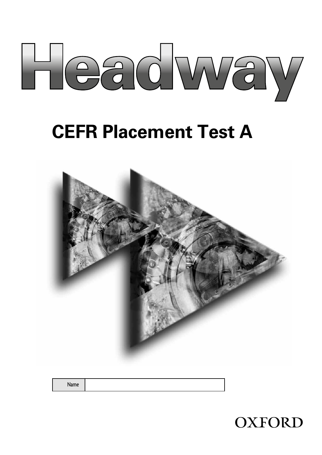

# **CEFR Placement Test A**



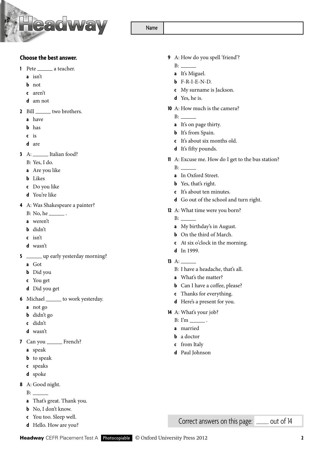

#### **Choose the best answer.**

- **1** Pete a teacher.
	- **a** isn't
	- **b** not
	- **c** aren't
	- **d** am not
- **2** Bill two brothers.
	- **a** have
	- **b** has
	- **c** is
	- **d** are
- **3** A: \_\_\_\_\_\_ Italian food?
	- B: Yes, I do.
	- **a** Are you like
	- **b** Likes
	- **c** Do you like
	- **d** You're like
- **4** A: Was Shakespeare a painter?
	- $B: No, he \_\_$ .
	- **a** weren't
	- **b** didn't
	- **c** isn't
	- **d** wasn't
- **5** \_\_\_\_\_\_\_ up early yesterday morning?
	- **a** Got
	- **b** Did you
	- **c** You get
	- **d** Did you get
- **6** Michael to work yesterday.
	- **a** not go
	- **b** didn't go
	- **c** didn't
	- **d** wasn't
- **7** Can you French?
	- **a** speak
	- **b** to speak
	- **c** speaks
	- **d** spoke
- **8** A: Good night.
	- B:
	- **a** That's great. Thank you.
	- **b** No, I don't know.
	- **c** You too. Sleep well.
	- **d** Hello. How are you?
- **9** A: How do you spell 'friend'?
	- $B:$

Name

- **a** It's Miguel.
- **b** F-R-I-E-N-D.
- **c** My surname is Jackson.
- **d** Yes, he is.
- **10** A: How much is the camera?
	- B:
	- **a** It's on page thirty.
	- **b** It's from Spain.
	- **c** It's about six months old.
	- **d** It's fifty pounds.
- **11** A: Excuse me. How do I get to the bus station?
	- B:
	- **a** In Oxford Street.
	- **b** Yes, that's right.
	- **c** It's about ten minutes.
	- **d** Go out of the school and turn right.
- **12** A: What time were you born?
	- $B:$
	- **a** My birthday's in August.
	- **b** On the third of March.
	- **c** At six o'clock in the morning.
	- **d** In 1999.
- **13** A:
	- B: I have a headache, that's all.
	- **a** What's the matter?
	- **b** Can I have a coffee, please?
	- **c** Thanks for everything.
	- **d** Here's a present for you.
- **14** A: What's your job?
	- $B: I'm$   $\qquad$
	- **a** married
	- **b** a doctor
	- **c** from Italy
	- **d** Paul Johnson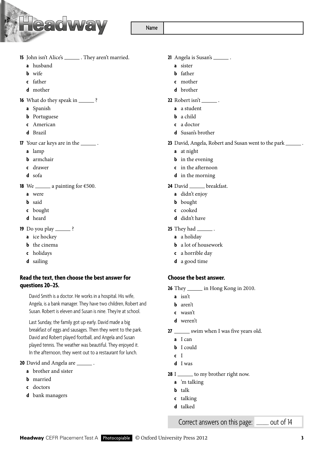

Name

- **15** John isn't Alice's \_\_\_\_\_\_\_. They aren't married.
	- **a** husband
	- **b** wife
	- **c** father
	- **d** mother
- **16** What do they speak in \_\_\_\_\_\_\_\_ ?
	- **a** Spanish
	- **b** Portuguese
	- **c** American
	- **d** Brazil
- **17** Your car keys are in the \_\_\_\_\_\_\_.
	- **a** lamp
	- **b** armchair
	- **c** drawer
	- **d** sofa
- **18** We \_\_\_\_\_\_\_ a painting for  $\epsilon$ 500.
	- **a** were
	- **b** said
	- **c** bought
	- **d** heard
- **19** Do you play \_\_\_\_\_\_?
	- **a** ice hockey
	- **b** the cinema
	- **c** holidays
	- **d** sailing

### **Read the text, then choose the best answer for questions20–25.**

David Smith is a doctor. He works in a hospital. His wife, Angela, is a bank manager. They have two children, Robert and Susan. Robert is eleven and Susan is nine. They're at school.

Last Sunday, the family got up early. David made a big breakfast of eggs and sausages. Then they went to the park. David and Robert played football, and Angela and Susan played tennis. The weather was beautiful. They enjoyed it. In the afternoon, they went out to a restaurant for lunch.

20 David and Angela are \_

- **a** brother and sister
- **b** married
- **c** doctors
- **d** bank managers

## 21 Angela is Susan's \_\_\_\_\_\_\_.

- **a** sister
- **b** father
- **c** mother
- **d** brother
- **22** Robert isn't .
	- **a** a student
	- **b** a child
	- **c** a doctor
	- **d** Susan's brother
- 23 David, Angela, Robert and Susan went to the park \_
	- **a** at night
	- **b** in the evening
	- **c** in the afternoon
	- **d** in the morning
- 24 David \_\_\_\_\_ breakfast.
	- **a** didn't enjoy
	- **b** bought
	- **c** cooked
	- **d** didn't have
- **25** They had .
	- **a** a holiday
	- **b** a lot of housework
	- **c** a horrible day
	- **d** a good time

## **Choose the best answer.**

- **26** They \_\_\_\_\_\_\_ in Hong Kong in 2010.
	- **a** isn't
	- **b** aren't
	- **c** wasn't
	- **d** weren't
- **27** Swim when I was five years old.
	- **a** I can
	- **b** I could
	- **c** I
	- **d** I was
- **28** I \_\_\_\_\_\_ to my brother right now.
	- **a** 'm talking
	- **b** talk
	- **c** talking
	- **d** talked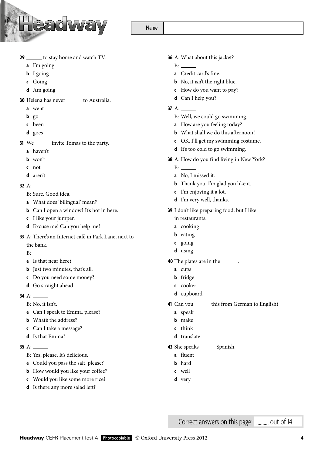

Name

- **29** to stay home and watch TV.
	- **a** I'm going
	- **b** I going
	- **c** Going
	- **d** Am going
- **30** Helena has never \_\_\_\_\_\_ to Australia.
	- **a** went
	- **b** go
	- **c** been
	- **d** goes
- **31** We <u>invite Tomas</u> to the party.
	- **a** haven't
	- **b** won't
	- **c** not
	- **d** aren't

#### **32** A:

- B: Sure. Good idea.
- **a** What does 'bilingual' mean?
- **b** Can I open a window? It's hot in here.
- **c** I like your jumper.
- **d** Excuse me! Can you help me?
- **33** A: There's an Internet café in Park Lane, next to
	- the bank.
	- $B:$
	- **a** Is that near here?
	- **b** Just two minutes, that's all.
	- **c** Do you need some money?
	- **d** Go straight ahead.
- **34** A:
	- B: No, it isn't.
	- **a** Can I speak to Emma, please?
	- **b** What's the address?
	- **c** Can I take a message?
	- **d** Is that Emma?
- **35** A:
	- B: Yes, please. It's delicious.
	- **a** Could you pass the salt, please?
	- **b** How would you like your coffee?
	- **c** Would you like some more rice?
	- **d** Is there any more salad left?
- **36** A: What about this jacket?
	- B:
	- **a** Credit card's fine.
	- **b** No, it isn't the right blue.
	- **c** How do you want to pay?
	- **d** Can I help you?
- **37** A:
	- B: Well, we could go swimming.
	- **a** How are you feeling today?
	- **b** What shall we do this afternoon?
	- **c** OK. I'll get my swimming costume.
	- **d** It's too cold to go swimming.
- **38** A: How do you find living in New York?
	- B:
	- **a** No, I missed it.
	- **b** Thank you. I'm glad you like it.
	- **c** I'm enjoying it a lot.
	- **d** I'm very well, thanks.
- **39** I don't like preparing food, but I like in restaurants.
	- **a** cooking
	- **b** eating
	- **c** going
	- **d** using
- **40** The plates are in the \_\_\_\_\_\_\_.
	- **a** cups
	- **b** fridge
	- **c** cooker
	- **d** cupboard
- 41 Can you \_\_\_\_\_\_\_ this from German to English?
	- **a** speak
	- **b** make
	- **c** think
	- **d** translate

#### **42** She speaks Spanish.

- **a** fluent
- **b** hard
- **c** well
- **d** very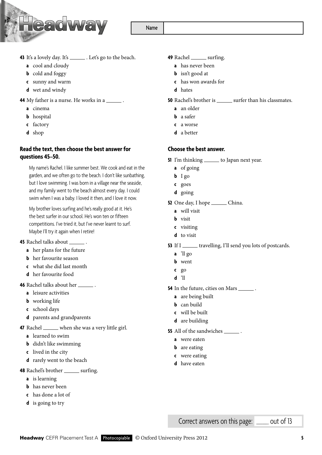**43** It's a lovely day. It's \_\_\_\_\_\_\_. Let's go to the beach.

**AAGWA** 

- **a** cool and cloudy
- **b** cold and foggy
- **c** sunny and warm
- **d** wet and windy
- **44** My father is a nurse. He works in a \_\_\_\_\_\_.
	- **a** cinema
	- **b** hospital
	- **c** factory
	- **d** shop

#### **Read the text, then choose the best answer for questions 45–50.**

My name's Rachel. I like summer best. We cook and eat in the garden, and we often go to the beach. I don't like sunbathing, but I love swimming. I was born in a village near the seaside, and my family went to the beach almost every day. I could swim when I was a baby. I loved it then, and I love it now.

My brother loves surfing and he's really good at it. He's the best surfer in our school. He's won ten or fifteen competitions. I've tried it, but I've never learnt to surf. Maybe I'll try it again when I retire!

- **45** Rachel talks about \_\_\_
	- **a** her plans for the future
	- **b** her favourite season
	- **c** what she did last month
	- **d** her favourite food

**46** Rachel talks about her .

- **a** leisure activities
- **b** working life
- **c** school days
- **d** parents and grandparents
- **47** Rachel when she was a very little girl.
	- **a** learned to swim
	- **b** didn't like swimming
	- **c** lived in the city
	- **d** rarely went to the beach

**48** Rachel's brother surfing.

- **a** is learning
- **b** has never been
- **c** has done a lot of
- **d** is going to try
- **49** Rachel surfing.
	- **a** has never been
	- **b** isn't good at
	- **c** has won awards for
	- **d** hates

**50** Rachel's brother is surfer than his classmates.

- **a** an older
- **b** a safer
- **c** a worse
- **d** a better

#### **Choose the best answer.**

- **51** I'm thinking \_\_\_\_\_\_\_ to Japan next year.
	- **a** of going
	- **b** I go
	- **c** goes
	- **d** going
- **52** One day, I hope \_\_\_\_\_\_\_ China.
	- **a** will visit
	- **b** visit
	- **c** visiting
	- **d** to visit
- **53** If I \_\_\_\_\_\_ travelling, I'll send you lots of postcards.
	- **a** 'll go
	- **b** went
	- **c** go
	- **d** 'll
- **54** In the future, cities on Mars
	- **a** are being built
	- **b** can build
	- **c** will be built
	- **d** are building
- **55** All of the sandwiches \_\_\_\_\_\_\_.
	- **a** were eaten
	- **b** are eating
	- **c** were eating
	- **d** have eaten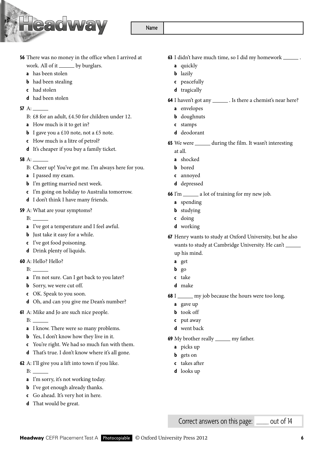- **56** There was no money in the office when I arrived at work. All of it \_\_\_\_\_\_ by burglars.
	- **a** has been stolen
	- **b** had been stealing
	- **c** had stolen
	- **d** had been stolen
- **57** A:
	- B: £8 for an adult, £4.50 for children under 12.
	- **a** How much is it to get in?
	- **b** I gave you a £10 note, not a £5 note.
	- **c** How much is a litre of petrol?
	- **d** It's cheaper if you buy a family ticket.
- **58** A:
	- B: Cheer up! You've got me. I'm always here for you.
	- **a** I passed my exam.
	- **b** I'm getting married next week.
	- **c** I'm going on holiday to Australia tomorrow.
	- **d** I don't think I have many friends.
- **59** A: What are your symptoms?
	- B:
	- **a** I've got a temperature and I feel awful.
	- **b** Just take it easy for a while.
	- **c** I've got food poisoning.
	- **d** Drink plenty of liquids.
- **60** A: Hello? Hello?
	- B:
	- **a** I'm not sure. Can I get back to you later?
	- **b** Sorry, we were cut off.
	- **c** OK. Speak to you soon.
	- **d** Oh, and can you give me Dean's number?
- **61** A: Mike and Jo are such nice people.
	- B:
	- **a** I know. There were so many problems.
	- **b** Yes, I don't know how they live in it.
	- **c** You're right. We had so much fun with them.
	- **d** That's true. I don't know where it's all gone.
- **62** A: I'll give you a lift into town if you like.
	- B:
	- **a** I'm sorry, it's not working today.
	- **b** I've got enough already thanks.
	- **c** Go ahead. It's very hot in here.
	- **d** That would be great.
- **63** I didn't have much time, so I did my homework .
	- **a** quickly
	- **b** lazily
	- **c** peacefully
	- **d** tragically
- **64** I haven't got any \_\_\_\_\_\_\_\_. Is there a chemist's near here?
	- **a** envelopes
	- **b** doughnuts
	- **c** stamps
	- **d** deodorant
- **65** We were \_\_\_\_\_\_ during the film. It wasn't interesting at all.
	- **a** shocked
	- **b** bored
	- **c** annoyed
	- **d** depressed
- **66** I'm \_\_\_\_\_\_\_ a lot of training for my new job.
	- **a** spending
	- **b** studying
	- **c** doing
	- **d** working
- **67** Henry wants to study at Oxford University, but he also wants to study at Cambridge University. He can't up his mind.
	- **a** get
	- **b** go
	- **c** take
	- **d** make
- **68** I <u>same my</u> job because the hours were too long.
	- **a** gave up
	- **b** took off
	- **c** put away
	- **d** went back
- **69** My brother really \_\_\_\_\_\_\_ my father.
	- **a** picks up
	- **b** gets on
	- **c** takes after
	- **d** looks up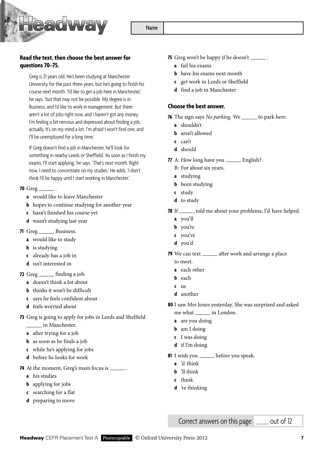

## **Read the text, then choose the best answer for questions70–75.**

Greg is 21 years old. He's been studying at Manchester University for the past three years, but he's going to finish his course next month. 'I'd like to get a job here in Manchester,' he says, 'but that may not be possible. My degree is in Business, and I'd like to work in management. But there aren't a lot of jobs right now, and I haven't got any money. I'm feeling a bit nervous and depressed about finding a job, actually. It's on my mind a lot. I'm afraid I won't find one, and I'll be unemployed for a long time.'

If Greg doesn't find a job in Manchester, he'll look for something in nearby Leeds or Sheffield. 'As soon as I finish my exams, I'll start applying,' he says. 'That's next month. Right now, I need to concentrate on my studies.' He adds, 'I don't think I'll be happy until I start working in Manchester.'

#### **70** Greg .

- **a** would like to leave Manchester
- **b** hopes to continue studying for another year
- **c** hasn't finished his course yet
- **d** wasn't studying last year
- 71 Greg \_\_\_\_\_\_\_ Business.
	- **a** would like to study
	- **b** is studying
	- **c** already has a job in
	- **d** isn't interested in
- **72** Greg finding a job.
	- **a** doesn't think a lot about
	- **b** thinks it won't be difficult
	- **c** says he feels confident about
	- **d** feels worried about
- **73** Greg is going to apply for jobs in Leeds and Sheffield
	- in Manchester.
	- **a** after trying for a job
	- **b** as soon as he finds a job
	- **c** while he's applying for jobs
	- **d** before he looks for work
- **74** At the moment, Greg's main focus is \_\_\_\_\_\_.
	- **a** his studies
	- **b** applying for jobs
	- **c** searching for a flat
	- **d** preparing to move
- **75** Greg won't be happy if he doesn't \_\_\_\_\_\_\_.
	- **a** fail his exams
	- **b** have his exams next month
	- **c** get work in Leeds or Sheffield
	- **d** find a job in Manchester

#### **Choose the best answer.**

**76** The sign says *No parking*. We \_\_\_\_\_\_ to park here.

- **a** shouldn't
- **b** aren't allowed
- **c** can't
- **d** should
- **77** A: How long have you \_\_\_\_\_\_\_ English?
	- B: For about six years.
	- **a** studying
	- **b** been studying
	- **c** study
	- **d** to study
- **78** If \_\_\_\_\_\_ told me about your problems, I'd have helped.
	- **a** you'll
	- **b** you're
	- **c** you've
	- **d** you'd
- **79** We can text \_\_\_\_\_\_ after work and arrange a place to meet.
	- **a** each other
	- **b** each
	- **c** us
	- **d** another
- **80** I saw Mrs Jones yesterday. She was surprised and asked me what in London.
	-
	- **a** are you doing
	- **b** am I doing
	- **c** I was doing
	- **d** if I'm doing
- 81 I wish you \_\_\_\_\_\_ before you speak.
	- **a** 'd think
	- **b** 'll think
	- **c** think
	- **d** 're thinking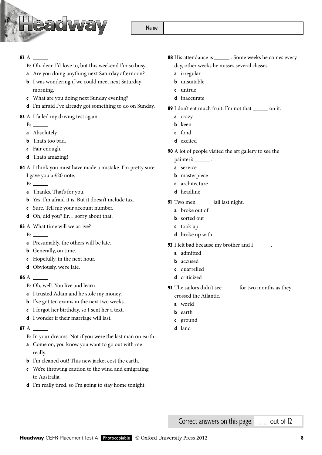

## **82** A:

- B: Oh, dear. I'd love to, but this weekend I'm so busy.
- **a** Are you doing anything next Saturday afternoon?
- **b** I was wondering if we could meet next Saturday morning.
- **c** What are you doing next Sunday evening?
- **d** I'm afraid I've already got something to do on Sunday.

## **83** A: I failed my driving test again.

- B: and the Boston state of the state of the state of the state of the state of the state of the state of the state of the state of the state of the state of the state of the state of the state of the state of the state of
- **a** Absolutely.
- **b** That's too bad.
- **c** Fair enough.
- **d** That's amazing!
- **84** A: I think you must have made a mistake. I'm pretty sure I gave you a £20 note.
	- B:  $\qquad \qquad$
	- **a** Thanks. That's for you.
	- **b** Yes, I'm afraid it is. But it doesn't include tax.
	- **c** Sure. Tell me your account number.
	- **d** Oh, did you? Er… sorry about that.
- **85** A: What time will we arrive?
	- $B:$
	- **a** Presumably, the others will be late.
	- **b** Generally, on time.
	- **c** Hopefully, in the next hour.
	- **d** Obviously, we're late.

#### **86** A:

- B: Oh, well. You live and learn.
- **a** I trusted Adam and he stole my money.
- **b** I've got ten exams in the next two weeks.
- **c** I forgot her birthday, so I sent her a text.
- **d** I wonder if their marriage will last.

#### **87** A:

- B: In your dreams. Not if you were the last man on earth.
- **a** Come on, you know you want to go out with me really.
- **b** I'm cleaned out! This new jacket cost the earth.
- **c** We're throwing caution to the wind and emigrating to Australia.
- **d** I'm really tired, so I'm going to stay home tonight.
- **88** His attendance is \_\_\_\_\_\_\_. Some weeks he comes every day, other weeks he misses several classes.
	- **a** irregular
	- **b** unsuitable
	- **c** untrue
	- **d** inaccurate
- **89** I don't eat much fruit. I'm not that <u>see on</u> it.
	- **a** crazy
	- **b** keen
	- **c** fond
	- **d** excited
- **90** A lot of people visited the art gallery to see the
	- painter's
	- **a** service
	- **b** masterpiece
	- **c** architecture
	- **d** headline
- **91** Two men \_\_\_\_\_\_\_ jail last night.
	- **a** broke out of
	- **b** sorted out
	- **c** took up
	- **d** broke up with
- **92** I felt bad because my brother and I  $\_\_\_\_\$ .
	- **a** admitted
	- **b** accused
	- **c** quarrelled
	- **d** criticized
- **93** The sailors didn't see <u>for</u> two months as they crossed the Atlantic.
	- **a** world
	- **b** earth
	- **c** ground
	- **d** land